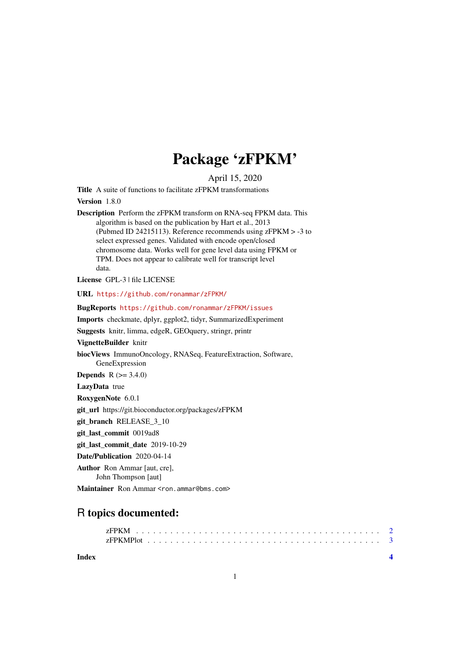## Package 'zFPKM'

April 15, 2020

Title A suite of functions to facilitate zFPKM transformations Version 1.8.0 Description Perform the zFPKM transform on RNA-seq FPKM data. This algorithm is based on the publication by Hart et al., 2013 (Pubmed ID 24215113). Reference recommends using zFPKM > -3 to select expressed genes. Validated with encode open/closed chromosome data. Works well for gene level data using FPKM or TPM. Does not appear to calibrate well for transcript level data. License GPL-3 | file LICENSE URL <https://github.com/ronammar/zFPKM/> BugReports <https://github.com/ronammar/zFPKM/issues> Imports checkmate, dplyr, ggplot2, tidyr, SummarizedExperiment Suggests knitr, limma, edgeR, GEOquery, stringr, printr VignetteBuilder knitr biocViews ImmunoOncology, RNASeq, FeatureExtraction, Software, GeneExpression **Depends**  $R (= 3.4.0)$ LazyData true RoxygenNote 6.0.1 git\_url https://git.bioconductor.org/packages/zFPKM git\_branch RELEASE\_3\_10 git\_last\_commit 0019ad8 git last commit date 2019-10-29 Date/Publication 2020-04-14 Author Ron Ammar [aut, cre], John Thompson [aut] Maintainer Ron Ammar <ron.ammar@bms.com>

### R topics documented:

#### **Index** [4](#page-3-0)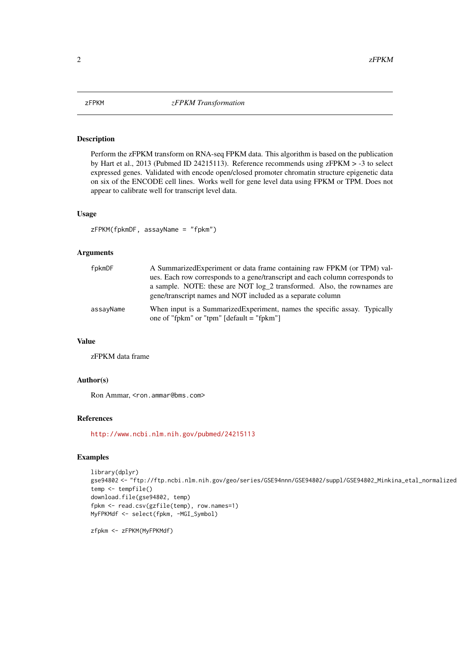#### <span id="page-1-0"></span>Description

Perform the zFPKM transform on RNA-seq FPKM data. This algorithm is based on the publication by Hart et al., 2013 (Pubmed ID 24215113). Reference recommends using zFPKM > -3 to select expressed genes. Validated with encode open/closed promoter chromatin structure epigenetic data on six of the ENCODE cell lines. Works well for gene level data using FPKM or TPM. Does not appear to calibrate well for transcript level data.

#### Usage

zFPKM(fpkmDF, assayName = "fpkm")

#### Arguments

| fpkmDF    | A Summarized Experiment or data frame containing raw FPKM (or TPM) val-<br>ues. Each row corresponds to a gene/transcript and each column corresponds to<br>a sample. NOTE: these are NOT $log_2 2$ transformed. Also, the rownames are<br>gene/transcript names and NOT included as a separate column |
|-----------|--------------------------------------------------------------------------------------------------------------------------------------------------------------------------------------------------------------------------------------------------------------------------------------------------------|
| assayName | When input is a Summarized Experiment, names the specific assay. Typically<br>one of "fpkm" or "tpm" $\left[$ default = "fpkm" $\right]$                                                                                                                                                               |

#### Value

zFPKM data frame

#### Author(s)

Ron Ammar, <ron.ammar@bms.com>

#### References

<http://www.ncbi.nlm.nih.gov/pubmed/24215113>

#### Examples

```
library(dplyr)
gse94802 <- "ftp://ftp.ncbi.nlm.nih.gov/geo/series/GSE94nnn/GSE94802/suppl/GSE94802_Minkina_etal_normalized
temp <- tempfile()
download.file(gse94802, temp)
fpkm <- read.csv(gzfile(temp), row.names=1)
MyFPKMdf <- select(fpkm, -MGI_Symbol)
```
zfpkm <- zFPKM(MyFPKMdf)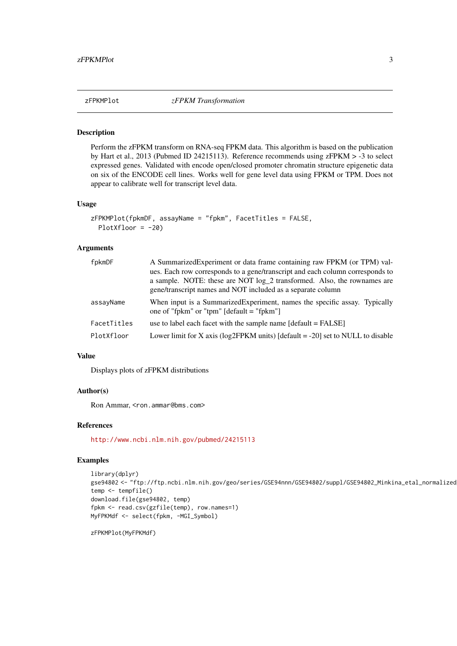#### <span id="page-2-0"></span>Description

Perform the zFPKM transform on RNA-seq FPKM data. This algorithm is based on the publication by Hart et al., 2013 (Pubmed ID 24215113). Reference recommends using zFPKM > -3 to select expressed genes. Validated with encode open/closed promoter chromatin structure epigenetic data on six of the ENCODE cell lines. Works well for gene level data using FPKM or TPM. Does not appear to calibrate well for transcript level data.

#### Usage

```
zFPKMPlot(fpkmDF, assayName = "fpkm", FacetTitles = FALSE,
 PlotXfloor = -20
```
#### Arguments

| fpkmDF      | A SummarizedExperiment or data frame containing raw FPKM (or TPM) val-<br>ues. Each row corresponds to a gene/transcript and each column corresponds to<br>a sample. NOTE: these are NOT log_2 transformed. Also, the rownames are<br>gene/transcript names and NOT included as a separate column |
|-------------|---------------------------------------------------------------------------------------------------------------------------------------------------------------------------------------------------------------------------------------------------------------------------------------------------|
| assayName   | When input is a Summarized Experiment, names the specific assay. Typically<br>one of "fpkm" or "tpm" $\left[$ default = "fpkm" $\right]$                                                                                                                                                          |
| FacetTitles | use to label each facet with the sample name $[default = FALSE]$                                                                                                                                                                                                                                  |
| PlotXfloor  | Lower limit for X axis ( $log2$ FPKM units) [default = -20] set to NULL to disable                                                                                                                                                                                                                |

#### Value

Displays plots of zFPKM distributions

#### Author(s)

Ron Ammar, <ron.ammar@bms.com>

#### References

<http://www.ncbi.nlm.nih.gov/pubmed/24215113>

#### Examples

```
library(dplyr)
gse94802 <- "ftp://ftp.ncbi.nlm.nih.gov/geo/series/GSE94nnn/GSE94802/suppl/GSE94802_Minkina_etal_normalized
temp <- tempfile()
download.file(gse94802, temp)
fpkm <- read.csv(gzfile(temp), row.names=1)
MyFPKMdf <- select(fpkm, -MGI_Symbol)
```
zFPKMPlot(MyFPKMdf)